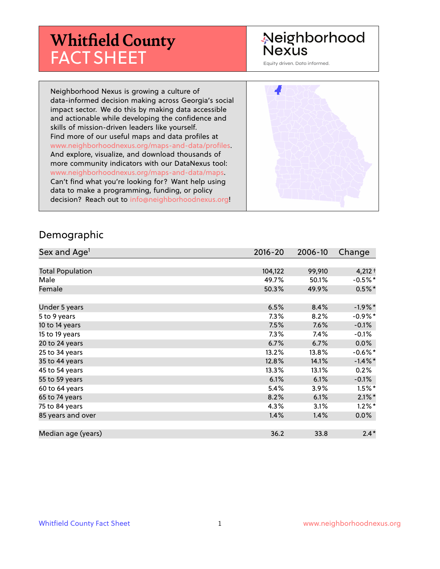# **Whitfield County** FACT SHEET

## Neighborhood Nexus

Equity driven. Data informed.

Neighborhood Nexus is growing a culture of data-informed decision making across Georgia's social impact sector. We do this by making data accessible and actionable while developing the confidence and skills of mission-driven leaders like yourself. Find more of our useful maps and data profiles at www.neighborhoodnexus.org/maps-and-data/profiles. And explore, visualize, and download thousands of more community indicators with our DataNexus tool: www.neighborhoodnexus.org/maps-and-data/maps. Can't find what you're looking for? Want help using data to make a programming, funding, or policy decision? Reach out to [info@neighborhoodnexus.org!](mailto:info@neighborhoodnexus.org)



#### Demographic

| Sex and Age <sup>1</sup> | $2016 - 20$ | 2006-10 | Change     |
|--------------------------|-------------|---------|------------|
|                          |             |         |            |
| <b>Total Population</b>  | 104,122     | 99,910  | $4,212 +$  |
| Male                     | 49.7%       | 50.1%   | $-0.5%$ *  |
| Female                   | 50.3%       | 49.9%   | $0.5%$ *   |
|                          |             |         |            |
| Under 5 years            | 6.5%        | 8.4%    | $-1.9%$ *  |
| 5 to 9 years             | $7.3\%$     | 8.2%    | $-0.9%$ *  |
| 10 to 14 years           | 7.5%        | 7.6%    | $-0.1\%$   |
| 15 to 19 years           | 7.3%        | 7.4%    | $-0.1%$    |
| 20 to 24 years           | 6.7%        | 6.7%    | $0.0\%$    |
| 25 to 34 years           | 13.2%       | 13.8%   | $-0.6%$ *  |
| 35 to 44 years           | 12.8%       | 14.1%   | $-1.4\%$ * |
| 45 to 54 years           | 13.3%       | 13.1%   | 0.2%       |
| 55 to 59 years           | 6.1%        | 6.1%    | $-0.1%$    |
| 60 to 64 years           | 5.4%        | 3.9%    | $1.5\%$ *  |
| 65 to 74 years           | 8.2%        | 6.1%    | $2.1\%$ *  |
| 75 to 84 years           | $4.3\%$     | 3.1%    | $1.2\%$ *  |
| 85 years and over        | 1.4%        | 1.4%    | $0.0\%$    |
|                          |             |         |            |
| Median age (years)       | 36.2        | 33.8    | $2.4*$     |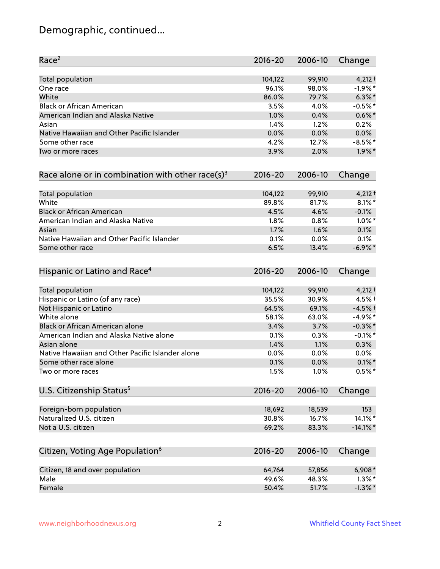## Demographic, continued...

| Race <sup>2</sup>                                            | $2016 - 20$ | 2006-10 | Change      |
|--------------------------------------------------------------|-------------|---------|-------------|
| <b>Total population</b>                                      | 104,122     | 99,910  | $4,212 +$   |
| One race                                                     | 96.1%       | 98.0%   | $-1.9%$ *   |
| White                                                        | 86.0%       | 79.7%   | $6.3\%$ *   |
| <b>Black or African American</b>                             | 3.5%        | 4.0%    | $-0.5%$ *   |
| American Indian and Alaska Native                            | 1.0%        | 0.4%    | $0.6\%$ *   |
| Asian                                                        | 1.4%        | 1.2%    | 0.2%        |
| Native Hawaiian and Other Pacific Islander                   | 0.0%        | 0.0%    | 0.0%        |
| Some other race                                              | 4.2%        | 12.7%   | $-8.5%$ *   |
| Two or more races                                            | 3.9%        | 2.0%    | $1.9\%$ *   |
| Race alone or in combination with other race(s) <sup>3</sup> | $2016 - 20$ | 2006-10 | Change      |
| Total population                                             | 104,122     | 99,910  | $4,212 +$   |
| White                                                        | 89.8%       | 81.7%   | $8.1\%$ *   |
| <b>Black or African American</b>                             | 4.5%        | 4.6%    | $-0.1%$     |
| American Indian and Alaska Native                            | 1.8%        | 0.8%    | $1.0\%$ *   |
| Asian                                                        | 1.7%        | 1.6%    | 0.1%        |
| Native Hawaiian and Other Pacific Islander                   | 0.1%        | 0.0%    | 0.1%        |
| Some other race                                              | 6.5%        | 13.4%   | $-6.9\%$ *  |
| Hispanic or Latino and Race <sup>4</sup>                     | $2016 - 20$ | 2006-10 | Change      |
| Total population                                             | 104,122     | 99,910  | $4,212 +$   |
| Hispanic or Latino (of any race)                             | 35.5%       | 30.9%   | 4.5% +      |
| Not Hispanic or Latino                                       | 64.5%       | 69.1%   | $-4.5%$ †   |
| White alone                                                  | 58.1%       | 63.0%   | $-4.9%$ *   |
| Black or African American alone                              | 3.4%        | 3.7%    | $-0.3\%$ *  |
| American Indian and Alaska Native alone                      | 0.1%        | 0.3%    | $-0.1\%$ *  |
| Asian alone                                                  | 1.4%        | 1.1%    | 0.3%        |
| Native Hawaiian and Other Pacific Islander alone             | 0.0%        | 0.0%    | $0.0\%$     |
| Some other race alone                                        | 0.1%        | 0.0%    | $0.1\%$ *   |
| Two or more races                                            | 1.5%        | 1.0%    | $0.5%$ *    |
| U.S. Citizenship Status <sup>5</sup>                         | $2016 - 20$ | 2006-10 | Change      |
| Foreign-born population                                      | 18,692      | 18,539  | 153         |
| Naturalized U.S. citizen                                     | 30.8%       | 16.7%   | 14.1%*      |
| Not a U.S. citizen                                           | 69.2%       | 83.3%   | $-14.1\%$ * |
| Citizen, Voting Age Population <sup>6</sup>                  | $2016 - 20$ | 2006-10 |             |
|                                                              |             |         | Change      |
| Citizen, 18 and over population                              | 64,764      | 57,856  | $6,908*$    |
| Male                                                         | 49.6%       | 48.3%   | $1.3\%$ *   |
| Female                                                       | 50.4%       | 51.7%   | $-1.3\%$ *  |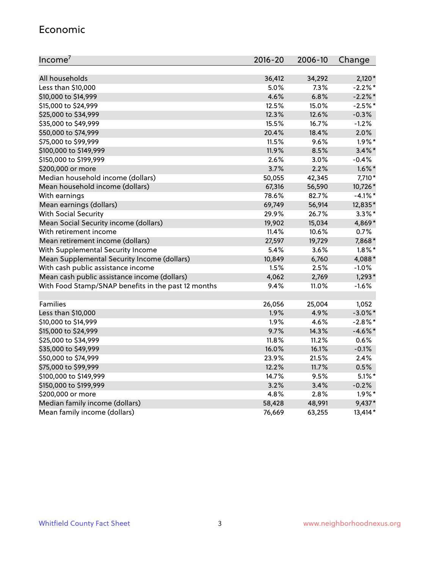#### Economic

| Income <sup>7</sup>                                 | $2016 - 20$ | 2006-10 | Change     |
|-----------------------------------------------------|-------------|---------|------------|
|                                                     |             |         |            |
| All households                                      | 36,412      | 34,292  | $2,120*$   |
| Less than \$10,000                                  | 5.0%        | 7.3%    | $-2.2\%$ * |
| \$10,000 to \$14,999                                | 4.6%        | 6.8%    | $-2.2\%$ * |
| \$15,000 to \$24,999                                | 12.5%       | 15.0%   | $-2.5%$ *  |
| \$25,000 to \$34,999                                | 12.3%       | 12.6%   | $-0.3%$    |
| \$35,000 to \$49,999                                | 15.5%       | 16.7%   | $-1.2%$    |
| \$50,000 to \$74,999                                | 20.4%       | 18.4%   | 2.0%       |
| \$75,000 to \$99,999                                | 11.5%       | 9.6%    | $1.9\%$ *  |
| \$100,000 to \$149,999                              | 11.9%       | 8.5%    | $3.4\%$ *  |
| \$150,000 to \$199,999                              | 2.6%        | 3.0%    | $-0.4%$    |
| \$200,000 or more                                   | 3.7%        | 2.2%    | $1.6\%$ *  |
| Median household income (dollars)                   | 50,055      | 42,345  | 7,710*     |
| Mean household income (dollars)                     | 67,316      | 56,590  | 10,726*    |
| With earnings                                       | 78.6%       | 82.7%   | $-4.1%$ *  |
| Mean earnings (dollars)                             | 69,749      | 56,914  | 12,835*    |
| <b>With Social Security</b>                         | 29.9%       | 26.7%   | $3.3\%$ *  |
| Mean Social Security income (dollars)               | 19,902      | 15,034  | 4,869*     |
| With retirement income                              | 11.4%       | 10.6%   | 0.7%       |
| Mean retirement income (dollars)                    | 27,597      | 19,729  | 7,868*     |
| With Supplemental Security Income                   | $5.4\%$     | 3.6%    | $1.8\%$ *  |
| Mean Supplemental Security Income (dollars)         | 10,849      | 6,760   | 4,088*     |
| With cash public assistance income                  | 1.5%        | 2.5%    | $-1.0%$    |
| Mean cash public assistance income (dollars)        | 4,062       | 2,769   | $1,293*$   |
| With Food Stamp/SNAP benefits in the past 12 months | 9.4%        | 11.0%   | $-1.6%$    |
|                                                     |             |         |            |
| Families                                            | 26,056      | 25,004  | 1,052      |
| Less than \$10,000                                  | 1.9%        | 4.9%    | $-3.0\%$ * |
| \$10,000 to \$14,999                                | 1.9%        | 4.6%    | $-2.8\%$ * |
| \$15,000 to \$24,999                                | 9.7%        | 14.3%   | $-4.6\%$ * |
| \$25,000 to \$34,999                                | 11.8%       | 11.2%   | 0.6%       |
| \$35,000 to \$49,999                                | 16.0%       | 16.1%   | $-0.1%$    |
| \$50,000 to \$74,999                                | 23.9%       | 21.5%   | 2.4%       |
| \$75,000 to \$99,999                                | 12.2%       | 11.7%   | 0.5%       |
| \$100,000 to \$149,999                              | 14.7%       | 9.5%    | $5.1\%$ *  |
| \$150,000 to \$199,999                              | 3.2%        | 3.4%    | $-0.2%$    |
| \$200,000 or more                                   | 4.8%        | 2.8%    | $1.9\%$ *  |
| Median family income (dollars)                      | 58,428      | 48,991  | 9,437*     |
| Mean family income (dollars)                        | 76,669      | 63,255  | 13,414*    |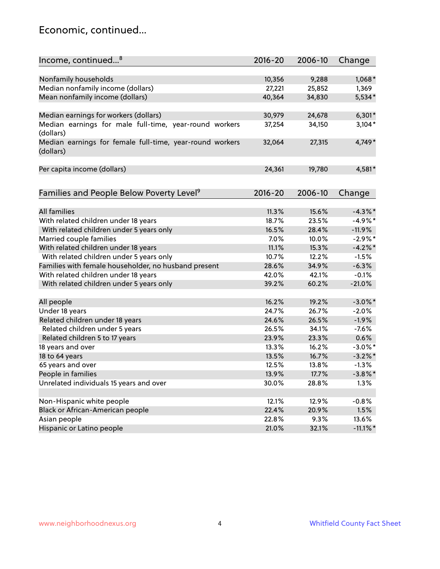### Economic, continued...

| Income, continued <sup>8</sup>                                        | $2016 - 20$ | 2006-10 | Change      |
|-----------------------------------------------------------------------|-------------|---------|-------------|
|                                                                       |             |         |             |
| Nonfamily households                                                  | 10,356      | 9,288   | $1,068*$    |
| Median nonfamily income (dollars)                                     | 27,221      | 25,852  | 1,369       |
| Mean nonfamily income (dollars)                                       | 40,364      | 34,830  | $5,534*$    |
| Median earnings for workers (dollars)                                 | 30,979      | 24,678  | $6,301*$    |
| Median earnings for male full-time, year-round workers                | 37,254      | 34,150  | $3,104*$    |
| (dollars)                                                             |             |         |             |
| Median earnings for female full-time, year-round workers<br>(dollars) | 32,064      | 27,315  | 4,749*      |
| Per capita income (dollars)                                           | 24,361      | 19,780  | 4,581*      |
|                                                                       |             |         |             |
| Families and People Below Poverty Level <sup>9</sup>                  | $2016 - 20$ | 2006-10 | Change      |
|                                                                       |             |         |             |
| All families                                                          | 11.3%       | 15.6%   | $-4.3\%$ *  |
| With related children under 18 years                                  | 18.7%       | 23.5%   | $-4.9%$ *   |
| With related children under 5 years only                              | 16.5%       | 28.4%   | $-11.9%$    |
| Married couple families                                               | 7.0%        | 10.0%   | $-2.9%$ *   |
| With related children under 18 years                                  | 11.1%       | 15.3%   | $-4.2\%$ *  |
| With related children under 5 years only                              | 10.7%       | 12.2%   | $-1.5%$     |
| Families with female householder, no husband present                  | 28.6%       | 34.9%   | $-6.3%$     |
| With related children under 18 years                                  | 42.0%       | 42.1%   | $-0.1%$     |
| With related children under 5 years only                              | 39.2%       | 60.2%   | $-21.0%$    |
| All people                                                            | 16.2%       | 19.2%   | $-3.0\%$ *  |
| Under 18 years                                                        | 24.7%       | 26.7%   | $-2.0%$     |
| Related children under 18 years                                       | 24.6%       | 26.5%   | $-1.9%$     |
| Related children under 5 years                                        | 26.5%       | 34.1%   | $-7.6%$     |
| Related children 5 to 17 years                                        | 23.9%       | 23.3%   | 0.6%        |
| 18 years and over                                                     | 13.3%       | 16.2%   | $-3.0\%$ *  |
| 18 to 64 years                                                        | 13.5%       | 16.7%   | $-3.2\%$ *  |
| 65 years and over                                                     | 12.5%       | 13.8%   | $-1.3%$     |
| People in families                                                    | 13.9%       | 17.7%   | $-3.8\%$ *  |
| Unrelated individuals 15 years and over                               | 30.0%       | 28.8%   | 1.3%        |
|                                                                       |             |         |             |
| Non-Hispanic white people                                             | 12.1%       | 12.9%   | $-0.8%$     |
| Black or African-American people                                      | 22.4%       | 20.9%   | 1.5%        |
| Asian people                                                          | 22.8%       | 9.3%    | 13.6%       |
| Hispanic or Latino people                                             | 21.0%       | 32.1%   | $-11.1\%$ * |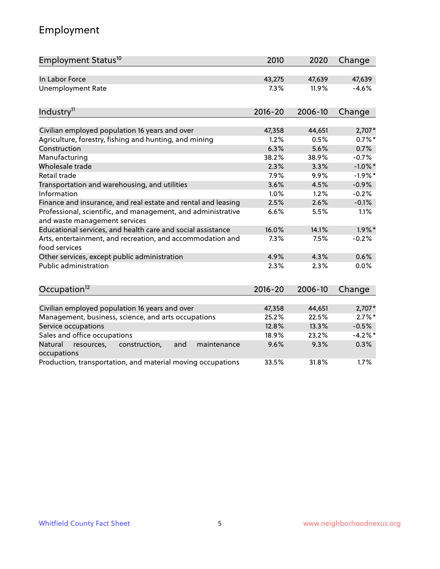## Employment

| Employment Status <sup>10</sup>                                                               | 2010        | 2020    | Change     |
|-----------------------------------------------------------------------------------------------|-------------|---------|------------|
| In Labor Force                                                                                | 43,275      | 47,639  | 47,639     |
| <b>Unemployment Rate</b>                                                                      | 7.3%        | 11.9%   | $-4.6%$    |
| Industry <sup>11</sup>                                                                        | $2016 - 20$ | 2006-10 | Change     |
| Civilian employed population 16 years and over                                                | 47,358      | 44,651  | 2,707*     |
| Agriculture, forestry, fishing and hunting, and mining                                        | 1.2%        | 0.5%    | $0.7%$ *   |
| Construction                                                                                  | 6.3%        | 5.6%    | 0.7%       |
| Manufacturing                                                                                 | 38.2%       | 38.9%   | $-0.7%$    |
| Wholesale trade                                                                               | 2.3%        | 3.3%    | $-1.0\%$ * |
| Retail trade                                                                                  | 7.9%        | 9.9%    | $-1.9%$ *  |
| Transportation and warehousing, and utilities                                                 | 3.6%        | 4.5%    | $-0.9%$    |
| Information                                                                                   | 1.0%        | 1.2%    | $-0.2%$    |
| Finance and insurance, and real estate and rental and leasing                                 | 2.5%        | 2.6%    | $-0.1%$    |
| Professional, scientific, and management, and administrative<br>and waste management services | 6.6%        | 5.5%    | 1.1%       |
| Educational services, and health care and social assistance                                   | 16.0%       | 14.1%   | $1.9\%$ *  |
| Arts, entertainment, and recreation, and accommodation and<br>food services                   | 7.3%        | 7.5%    | $-0.2%$    |
| Other services, except public administration                                                  | 4.9%        | 4.3%    | 0.6%       |
| <b>Public administration</b>                                                                  | 2.3%        | 2.3%    | 0.0%       |
| Occupation <sup>12</sup>                                                                      | $2016 - 20$ | 2006-10 | Change     |
|                                                                                               |             |         |            |
| Civilian employed population 16 years and over                                                | 47,358      | 44,651  | 2,707*     |
| Management, business, science, and arts occupations                                           | 25.2%       | 22.5%   | $2.7\%$ *  |
| Service occupations                                                                           | 12.8%       | 13.3%   | $-0.5%$    |
| Sales and office occupations                                                                  | 18.9%       | 23.2%   | $-4.2%$ *  |
| Natural<br>resources,<br>construction,<br>and<br>maintenance<br>occupations                   | 9.6%        | 9.3%    | 0.3%       |
| Production, transportation, and material moving occupations                                   | 33.5%       | 31.8%   | 1.7%       |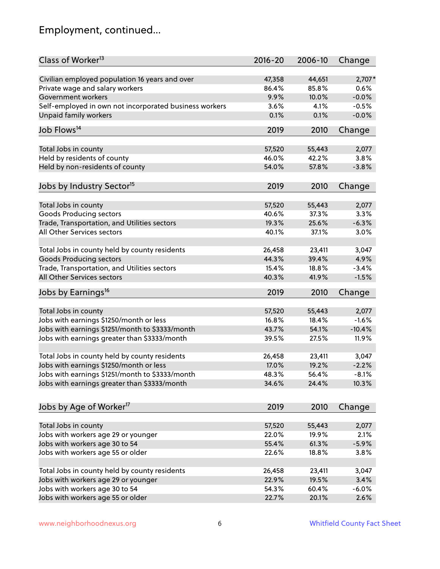## Employment, continued...

| Class of Worker <sup>13</sup>                                   | $2016 - 20$     | 2006-10         | Change   |
|-----------------------------------------------------------------|-----------------|-----------------|----------|
| Civilian employed population 16 years and over                  | 47,358          | 44,651          | 2,707*   |
| Private wage and salary workers                                 | 86.4%           | 85.8%           | 0.6%     |
| Government workers                                              | 9.9%            | 10.0%           | $-0.0%$  |
| Self-employed in own not incorporated business workers          | 3.6%            | 4.1%            | $-0.5%$  |
| <b>Unpaid family workers</b>                                    | 0.1%            | 0.1%            | $-0.0%$  |
| Job Flows <sup>14</sup>                                         | 2019            | 2010            | Change   |
| Total Jobs in county                                            | 57,520          | 55,443          | 2,077    |
| Held by residents of county                                     | 46.0%           | 42.2%           | 3.8%     |
| Held by non-residents of county                                 | 54.0%           | 57.8%           | $-3.8%$  |
|                                                                 |                 |                 |          |
| Jobs by Industry Sector <sup>15</sup>                           | 2019            | 2010            | Change   |
| Total Jobs in county                                            | 57,520          | 55,443          | 2,077    |
| <b>Goods Producing sectors</b>                                  | 40.6%           | 37.3%           | 3.3%     |
| Trade, Transportation, and Utilities sectors                    | 19.3%           | 25.6%           | $-6.3%$  |
| All Other Services sectors                                      | 40.1%           | 37.1%           | 3.0%     |
|                                                                 |                 |                 |          |
| Total Jobs in county held by county residents                   | 26,458          | 23,411          | 3,047    |
| <b>Goods Producing sectors</b>                                  | 44.3%           | 39.4%           | 4.9%     |
| Trade, Transportation, and Utilities sectors                    | 15.4%           | 18.8%           | $-3.4%$  |
| All Other Services sectors                                      | 40.3%           | 41.9%           | $-1.5%$  |
| Jobs by Earnings <sup>16</sup>                                  | 2019            | 2010            | Change   |
|                                                                 |                 |                 | 2,077    |
| Total Jobs in county<br>Jobs with earnings \$1250/month or less | 57,520<br>16.8% | 55,443<br>18.4% | $-1.6%$  |
|                                                                 | 43.7%           | 54.1%           |          |
| Jobs with earnings \$1251/month to \$3333/month                 |                 |                 | $-10.4%$ |
| Jobs with earnings greater than \$3333/month                    | 39.5%           | 27.5%           | 11.9%    |
| Total Jobs in county held by county residents                   | 26,458          | 23,411          | 3,047    |
| Jobs with earnings \$1250/month or less                         | 17.0%           | 19.2%           | $-2.2%$  |
| Jobs with earnings \$1251/month to \$3333/month                 | 48.3%           | 56.4%           | $-8.1\%$ |
| Jobs with earnings greater than \$3333/month                    | 34.6%           | 24.4%           | 10.3%    |
|                                                                 |                 |                 |          |
| Jobs by Age of Worker <sup>17</sup>                             | 2019            | 2010            | Change   |
| Total Jobs in county                                            | 57,520          | 55,443          | 2,077    |
| Jobs with workers age 29 or younger                             | 22.0%           | 19.9%           | 2.1%     |
| Jobs with workers age 30 to 54                                  | 55.4%           | 61.3%           | $-5.9%$  |
| Jobs with workers age 55 or older                               | 22.6%           | 18.8%           | 3.8%     |
|                                                                 |                 |                 |          |
| Total Jobs in county held by county residents                   | 26,458          | 23,411          | 3,047    |
| Jobs with workers age 29 or younger                             | 22.9%           | 19.5%           | 3.4%     |
| Jobs with workers age 30 to 54                                  | 54.3%           | 60.4%           | $-6.0%$  |
| Jobs with workers age 55 or older                               | 22.7%           | 20.1%           | 2.6%     |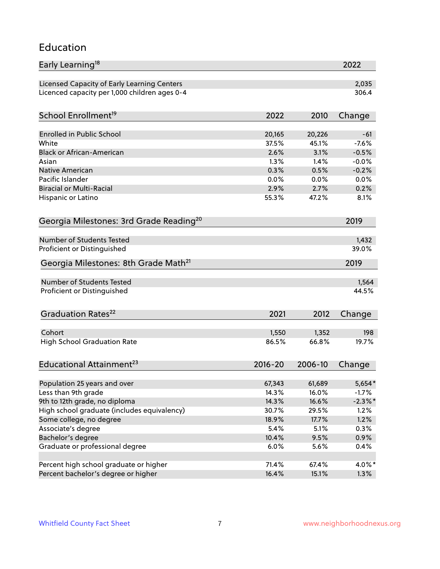#### Education

| Early Learning <sup>18</sup>                        |                 |                 | 2022             |
|-----------------------------------------------------|-----------------|-----------------|------------------|
| Licensed Capacity of Early Learning Centers         |                 |                 | 2,035            |
| Licenced capacity per 1,000 children ages 0-4       |                 |                 | 306.4            |
| School Enrollment <sup>19</sup>                     | 2022            | 2010            | Change           |
| <b>Enrolled in Public School</b>                    |                 |                 |                  |
| White                                               | 20,165<br>37.5% | 20,226<br>45.1% | $-61$<br>$-7.6%$ |
| <b>Black or African-American</b>                    | 2.6%            | 3.1%            | $-0.5%$          |
| Asian                                               | 1.3%            | 1.4%            | $-0.0%$          |
| Native American                                     | 0.3%            | 0.5%            | $-0.2%$          |
| Pacific Islander                                    | 0.0%            | 0.0%            | 0.0%             |
| <b>Biracial or Multi-Racial</b>                     | 2.9%            | 2.7%            | 0.2%             |
| Hispanic or Latino                                  | 55.3%           | 47.2%           | 8.1%             |
| Georgia Milestones: 3rd Grade Reading <sup>20</sup> |                 |                 | 2019             |
|                                                     |                 |                 |                  |
| Number of Students Tested                           |                 |                 | 1,432            |
| Proficient or Distinguished                         |                 |                 | 39.0%            |
| Georgia Milestones: 8th Grade Math <sup>21</sup>    |                 |                 | 2019             |
| <b>Number of Students Tested</b>                    |                 |                 | 1,564            |
| Proficient or Distinguished                         |                 |                 | 44.5%            |
|                                                     |                 |                 |                  |
| Graduation Rates <sup>22</sup>                      | 2021            | 2012            | Change           |
| Cohort                                              | 1,550           | 1,352           | 198              |
| <b>High School Graduation Rate</b>                  | 86.5%           | 66.8%           | 19.7%            |
|                                                     |                 |                 |                  |
| Educational Attainment <sup>23</sup>                | $2016 - 20$     | 2006-10         | Change           |
| Population 25 years and over                        | 67,343          | 61,689          | 5,654*           |
| Less than 9th grade                                 | 14.3%           | 16.0%           | $-1.7\%$         |
| 9th to 12th grade, no diploma                       | 14.3%           | 16.6%           | $-2.3\%$ *       |
| High school graduate (includes equivalency)         | 30.7%           | 29.5%           | 1.2%             |
| Some college, no degree                             | 18.9%           | 17.7%           | 1.2%             |
| Associate's degree                                  | 5.4%            | 5.1%            | 0.3%             |
| Bachelor's degree                                   | 10.4%           | 9.5%            | 0.9%             |
| Graduate or professional degree                     | 6.0%            | 5.6%            | 0.4%             |
|                                                     |                 |                 |                  |
| Percent high school graduate or higher              | 71.4%           | 67.4%           | 4.0%*            |
| Percent bachelor's degree or higher                 | 16.4%           | 15.1%           | 1.3%             |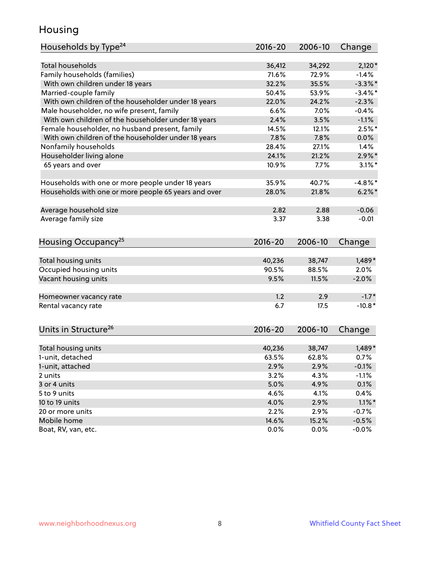### Housing

| Households by Type <sup>24</sup>                     | 2016-20       | 2006-10       | Change             |
|------------------------------------------------------|---------------|---------------|--------------------|
|                                                      |               |               |                    |
| <b>Total households</b>                              | 36,412        | 34,292        | $2,120*$           |
| Family households (families)                         | 71.6%         | 72.9%         | $-1.4%$            |
| With own children under 18 years                     | 32.2%         | 35.5%         | $-3.3\%$ *         |
| Married-couple family                                | 50.4%         | 53.9%         | $-3.4\%$ *         |
| With own children of the householder under 18 years  | 22.0%         | 24.2%         | $-2.3%$            |
| Male householder, no wife present, family            | 6.6%          | 7.0%          | $-0.4%$            |
| With own children of the householder under 18 years  | 2.4%          | 3.5%          | $-1.1%$            |
| Female householder, no husband present, family       | 14.5%         | 12.1%         | $2.5%$ *           |
| With own children of the householder under 18 years  | 7.8%          | 7.8%          | 0.0%               |
| Nonfamily households                                 | 28.4%         | 27.1%         | 1.4%               |
| Householder living alone                             | 24.1%         | 21.2%         | $2.9\%$ *          |
| 65 years and over                                    | 10.9%         | 7.7%          | $3.1\%$ *          |
|                                                      |               |               |                    |
| Households with one or more people under 18 years    | 35.9%         | 40.7%         | $-4.8\%$ *         |
| Households with one or more people 65 years and over | 28.0%         | 21.8%         | $6.2\%$ *          |
|                                                      |               |               |                    |
| Average household size                               | 2.82          | 2.88          | $-0.06$            |
| Average family size                                  | 3.37          | 3.38          | $-0.01$            |
|                                                      |               |               |                    |
| Housing Occupancy <sup>25</sup>                      | $2016 - 20$   | 2006-10       | Change             |
|                                                      |               |               |                    |
| Total housing units                                  | 40,236        | 38,747        | $1,489*$           |
| Occupied housing units                               | 90.5%         | 88.5%         | 2.0%               |
| Vacant housing units                                 | 9.5%          | 11.5%         | $-2.0%$            |
|                                                      |               |               |                    |
| Homeowner vacancy rate                               | 1.2           | 2.9           | $-1.7*$            |
| Rental vacancy rate                                  | 6.7           | 17.5          | $-10.8*$           |
|                                                      |               |               |                    |
| Units in Structure <sup>26</sup>                     | $2016 - 20$   | 2006-10       |                    |
|                                                      |               |               | Change             |
| Total housing units                                  | 40,236        | 38,747        | $1,489*$           |
| 1-unit, detached                                     | 63.5%         | 62.8%         | 0.7%               |
| 1-unit, attached                                     | 2.9%          | 2.9%          | $-0.1%$            |
| 2 units                                              | 3.2%          | 4.3%          | $-1.1%$            |
| 3 or 4 units                                         | 5.0%          | 4.9%          | 0.1%               |
| 5 to 9 units                                         | 4.6%          | 4.1%          | 0.4%               |
| 10 to 19 units                                       | 4.0%          |               | $1.1\%$ *          |
|                                                      |               | 2.9%          |                    |
| 20 or more units<br>Mobile home                      | 2.2%<br>14.6% | 2.9%<br>15.2% | $-0.7%$<br>$-0.5%$ |
| Boat, RV, van, etc.                                  | 0.0%          | 0.0%          |                    |
|                                                      |               |               | $-0.0\%$           |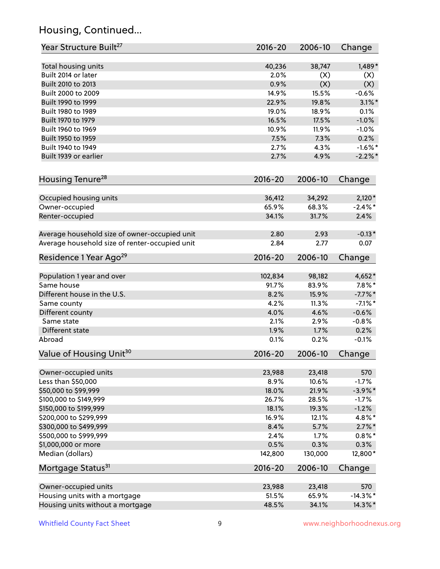## Housing, Continued...

| Year Structure Built <sup>27</sup>               | 2016-20        | 2006-10         | Change                 |
|--------------------------------------------------|----------------|-----------------|------------------------|
| Total housing units                              | 40,236         | 38,747          | $1,489*$               |
| Built 2014 or later                              | 2.0%           | (X)             | (X)                    |
| Built 2010 to 2013                               | 0.9%           | (X)             | (X)                    |
| Built 2000 to 2009                               | 14.9%          | 15.5%           | $-0.6%$                |
| Built 1990 to 1999                               | 22.9%          | 19.8%           | $3.1\%$ *              |
| Built 1980 to 1989                               | 19.0%          | 18.9%           | 0.1%                   |
| Built 1970 to 1979                               | 16.5%          | 17.5%           | $-1.0%$                |
| Built 1960 to 1969                               | 10.9%          | 11.9%           | $-1.0%$                |
| Built 1950 to 1959                               | 7.5%           | 7.3%            | 0.2%                   |
| Built 1940 to 1949                               | 2.7%           | 4.3%            | $-1.6\%$ *             |
| Built 1939 or earlier                            | 2.7%           | 4.9%            | $-2.2\%$ *             |
| Housing Tenure <sup>28</sup>                     | $2016 - 20$    | 2006-10         | Change                 |
|                                                  |                |                 |                        |
| Occupied housing units                           | 36,412         | 34,292          | $2,120*$               |
| Owner-occupied                                   | 65.9%          | 68.3%           | $-2.4\%$ *             |
| Renter-occupied                                  | 34.1%          | 31.7%           | 2.4%                   |
| Average household size of owner-occupied unit    | 2.80           | 2.93            | $-0.13*$               |
| Average household size of renter-occupied unit   | 2.84           | 2.77            | 0.07                   |
| Residence 1 Year Ago <sup>29</sup>               | $2016 - 20$    | 2006-10         | Change                 |
| Population 1 year and over                       | 102,834        | 98,182          | 4,652*                 |
| Same house                                       | 91.7%          | 83.9%           | $7.8\%$ *              |
| Different house in the U.S.                      | 8.2%           | 15.9%           | $-7.7%$ *              |
| Same county                                      | 4.2%           | 11.3%           | $-7.1\%$ *             |
| Different county                                 | 4.0%           | 4.6%            | $-0.6%$                |
| Same state                                       | 2.1%           | 2.9%            | $-0.8%$                |
| Different state                                  | 1.9%           | 1.7%            | 0.2%                   |
| Abroad                                           | 0.1%           | 0.2%            | $-0.1%$                |
| Value of Housing Unit <sup>30</sup>              | $2016 - 20$    | 2006-10         | Change                 |
|                                                  |                |                 |                        |
| Owner-occupied units                             | 23,988<br>8.9% | 23,418<br>10.6% | 570<br>$-1.7%$         |
| Less than \$50,000                               |                | 21.9%           |                        |
| \$50,000 to \$99,999                             | 18.0%          | 28.5%           | $-3.9\%$ *             |
| \$100,000 to \$149,999                           | 26.7%<br>18.1% | 19.3%           | $-1.7%$                |
| \$150,000 to \$199,999<br>\$200,000 to \$299,999 | 16.9%          | 12.1%           | $-1.2%$<br>4.8%*       |
| \$300,000 to \$499,999                           | 8.4%           |                 |                        |
|                                                  | 2.4%           | 5.7%<br>1.7%    | $2.7\%$ *<br>$0.8\%$ * |
| \$500,000 to \$999,999                           | 0.5%           | 0.3%            |                        |
| \$1,000,000 or more<br>Median (dollars)          | 142,800        | 130,000         | 0.3%<br>12,800*        |
|                                                  |                |                 |                        |
| Mortgage Status <sup>31</sup>                    | $2016 - 20$    | 2006-10         | Change                 |
| Owner-occupied units                             | 23,988         | 23,418          | 570                    |
| Housing units with a mortgage                    | 51.5%          | 65.9%           | $-14.3\%$ *            |
| Housing units without a mortgage                 | 48.5%          | 34.1%           | 14.3%*                 |
|                                                  |                |                 |                        |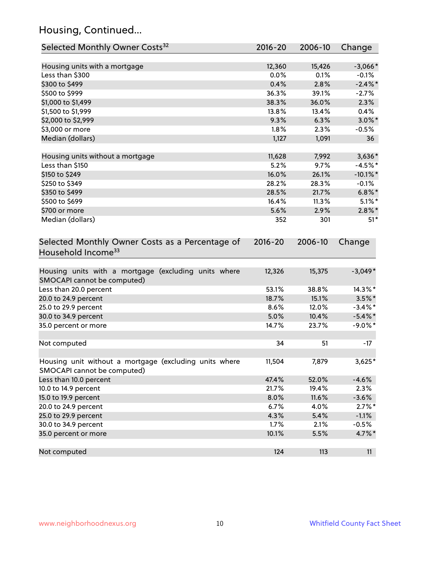## Housing, Continued...

| Selected Monthly Owner Costs <sup>32</sup>                                            | $2016 - 20$ | 2006-10 | Change      |
|---------------------------------------------------------------------------------------|-------------|---------|-------------|
| Housing units with a mortgage                                                         | 12,360      | 15,426  | $-3,066*$   |
| Less than \$300                                                                       | 0.0%        | 0.1%    | $-0.1%$     |
| \$300 to \$499                                                                        | 0.4%        | 2.8%    | $-2.4\%$ *  |
| \$500 to \$999                                                                        | 36.3%       | 39.1%   | $-2.7%$     |
| \$1,000 to \$1,499                                                                    | 38.3%       | 36.0%   | 2.3%        |
| \$1,500 to \$1,999                                                                    | 13.8%       | 13.4%   | 0.4%        |
| \$2,000 to \$2,999                                                                    | 9.3%        | 6.3%    | $3.0\%$ *   |
| \$3,000 or more                                                                       | 1.8%        | 2.3%    | $-0.5%$     |
| Median (dollars)                                                                      | 1,127       | 1,091   | 36          |
| Housing units without a mortgage                                                      | 11,628      | 7,992   | 3,636*      |
| Less than \$150                                                                       | 5.2%        | 9.7%    | $-4.5%$ *   |
| \$150 to \$249                                                                        | 16.0%       | 26.1%   | $-10.1\%$ * |
| \$250 to \$349                                                                        | 28.2%       | 28.3%   | $-0.1%$     |
| \$350 to \$499                                                                        | 28.5%       | 21.7%   | $6.8\%$ *   |
| \$500 to \$699                                                                        | 16.4%       | 11.3%   | $5.1\%$ *   |
| \$700 or more                                                                         | 5.6%        | 2.9%    | $2.8\%$ *   |
| Median (dollars)                                                                      | 352         | 301     | $51*$       |
| Selected Monthly Owner Costs as a Percentage of<br>Household Income <sup>33</sup>     | $2016 - 20$ | 2006-10 | Change      |
| Housing units with a mortgage (excluding units where<br>SMOCAPI cannot be computed)   | 12,326      | 15,375  | $-3,049*$   |
| Less than 20.0 percent                                                                | 53.1%       | 38.8%   | 14.3%*      |
| 20.0 to 24.9 percent                                                                  | 18.7%       | 15.1%   | $3.5\%$ *   |
| 25.0 to 29.9 percent                                                                  | 8.6%        | 12.0%   | $-3.4\%$ *  |
| 30.0 to 34.9 percent                                                                  | 5.0%        | 10.4%   | $-5.4\%$ *  |
| 35.0 percent or more                                                                  | 14.7%       | 23.7%   | $-9.0\%$ *  |
| Not computed                                                                          | 34          | 51      | $-17$       |
| Housing unit without a mortgage (excluding units where<br>SMOCAPI cannot be computed) | 11,504      | 7,879   | 3,625*      |
| Less than 10.0 percent                                                                | 47.4%       | 52.0%   | $-4.6%$     |
| 10.0 to 14.9 percent                                                                  | 21.7%       | 19.4%   | 2.3%        |
| 15.0 to 19.9 percent                                                                  | 8.0%        | 11.6%   | $-3.6%$     |
| 20.0 to 24.9 percent                                                                  | 6.7%        | 4.0%    | $2.7\%$ *   |
| 25.0 to 29.9 percent                                                                  | 4.3%        | 5.4%    | $-1.1%$     |
| 30.0 to 34.9 percent                                                                  | 1.7%        | 2.1%    | $-0.5%$     |
| 35.0 percent or more                                                                  | 10.1%       | 5.5%    | 4.7%*       |
| Not computed                                                                          | 124         | 113     | 11          |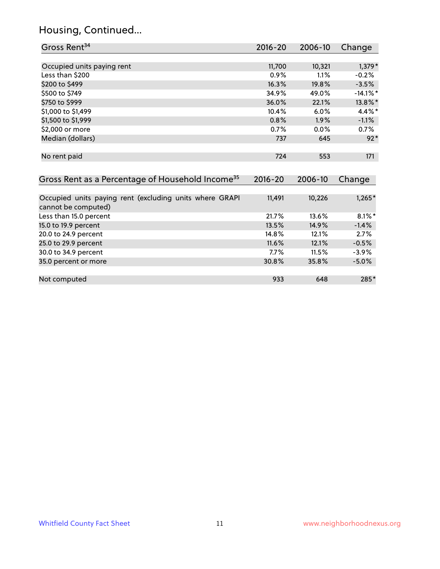### Housing, Continued...

| Gross Rent <sup>34</sup>                                                       | 2016-20     | 2006-10 | Change      |
|--------------------------------------------------------------------------------|-------------|---------|-------------|
|                                                                                |             |         |             |
| Occupied units paying rent                                                     | 11,700      | 10,321  | $1,379*$    |
| Less than \$200                                                                | 0.9%        | 1.1%    | $-0.2%$     |
| \$200 to \$499                                                                 | 16.3%       | 19.8%   | $-3.5%$     |
| \$500 to \$749                                                                 | 34.9%       | 49.0%   | $-14.1\%$ * |
| \$750 to \$999                                                                 | 36.0%       | 22.1%   | 13.8%*      |
| \$1,000 to \$1,499                                                             | 10.4%       | 6.0%    | 4.4%*       |
| \$1,500 to \$1,999                                                             | 0.8%        | 1.9%    | $-1.1%$     |
| \$2,000 or more                                                                | 0.7%        | 0.0%    | 0.7%        |
| Median (dollars)                                                               | 737         | 645     | $92*$       |
| No rent paid                                                                   | 724         | 553     | 171         |
| Gross Rent as a Percentage of Household Income <sup>35</sup>                   | $2016 - 20$ | 2006-10 | Change      |
| Occupied units paying rent (excluding units where GRAPI<br>cannot be computed) | 11,491      | 10,226  | $1,265*$    |
| Less than 15.0 percent                                                         | 21.7%       | 13.6%   | $8.1\%$ *   |
| 15.0 to 19.9 percent                                                           | 13.5%       | 14.9%   | $-1.4%$     |
| 20.0 to 24.9 percent                                                           | 14.8%       | 12.1%   | 2.7%        |
| 25.0 to 29.9 percent                                                           | 11.6%       | 12.1%   | $-0.5%$     |
| 30.0 to 34.9 percent                                                           | 7.7%        | 11.5%   | $-3.9%$     |
| 35.0 percent or more                                                           | 30.8%       | 35.8%   | $-5.0%$     |
| Not computed                                                                   | 933         | 648     | 285*        |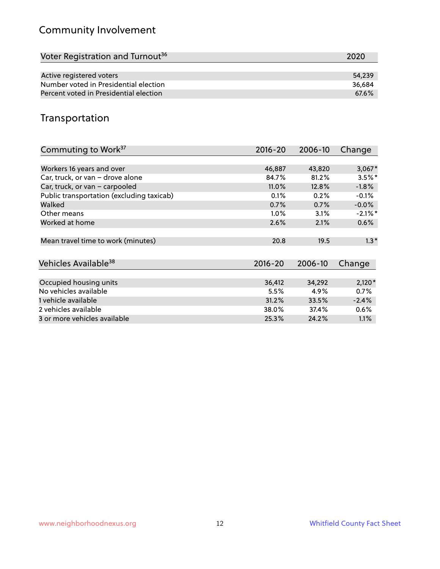## Community Involvement

| Voter Registration and Turnout <sup>36</sup> | 2020   |
|----------------------------------------------|--------|
|                                              |        |
| Active registered voters                     | 54.239 |
| Number voted in Presidential election        | 36.684 |
| Percent voted in Presidential election       | 67.6%  |

## Transportation

| Commuting to Work <sup>37</sup>           | 2016-20     | 2006-10 | Change     |
|-------------------------------------------|-------------|---------|------------|
|                                           |             |         |            |
| Workers 16 years and over                 | 46,887      | 43,820  | $3,067*$   |
| Car, truck, or van - drove alone          | 84.7%       | 81.2%   | $3.5\%$ *  |
| Car, truck, or van - carpooled            | 11.0%       | 12.8%   | $-1.8%$    |
| Public transportation (excluding taxicab) | 0.1%        | 0.2%    | $-0.1%$    |
| Walked                                    | 0.7%        | 0.7%    | $-0.0\%$   |
| Other means                               | $1.0\%$     | 3.1%    | $-2.1\%$ * |
| Worked at home                            | 2.6%        | 2.1%    | 0.6%       |
| Mean travel time to work (minutes)        | 20.8        | 19.5    | $1.3*$     |
| Vehicles Available <sup>38</sup>          | $2016 - 20$ | 2006-10 | Change     |
| Occupied housing units                    | 36,412      | 34,292  | $2,120*$   |
| No vehicles available                     | 5.5%        | 4.9%    | 0.7%       |
|                                           |             |         |            |
| 1 vehicle available                       | 31.2%       | 33.5%   | $-2.4%$    |
| 2 vehicles available                      | 38.0%       | 37.4%   | $0.6\%$    |
| 3 or more vehicles available              | 25.3%       | 24.2%   | $1.1\%$    |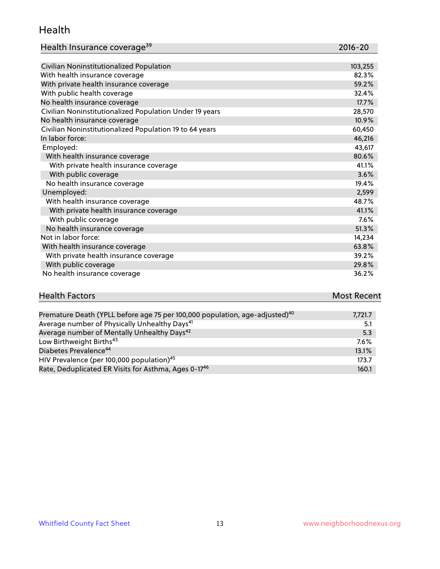#### Health

| Health Insurance coverage <sup>39</sup> | 2016-20 |
|-----------------------------------------|---------|
|-----------------------------------------|---------|

| Civilian Noninstitutionalized Population                | 103,255 |
|---------------------------------------------------------|---------|
| With health insurance coverage                          | 82.3%   |
| With private health insurance coverage                  | 59.2%   |
| With public health coverage                             | 32.4%   |
| No health insurance coverage                            | 17.7%   |
| Civilian Noninstitutionalized Population Under 19 years | 28,570  |
| No health insurance coverage                            | 10.9%   |
| Civilian Noninstitutionalized Population 19 to 64 years | 60,450  |
| In labor force:                                         | 46,216  |
| Employed:                                               | 43,617  |
| With health insurance coverage                          | 80.6%   |
| With private health insurance coverage                  | 41.1%   |
| With public coverage                                    | 3.6%    |
| No health insurance coverage                            | 19.4%   |
| Unemployed:                                             | 2,599   |
| With health insurance coverage                          | 48.7%   |
| With private health insurance coverage                  | 41.1%   |
| With public coverage                                    | 7.6%    |
| No health insurance coverage                            | 51.3%   |
| Not in labor force:                                     | 14,234  |
| With health insurance coverage                          | 63.8%   |
| With private health insurance coverage                  | 39.2%   |
| With public coverage                                    | 29.8%   |
| No health insurance coverage                            | 36.2%   |

# **Health Factors Most Recent** And The Control of the Control of The Control of The Control of The Control of The Control of The Control of The Control of The Control of The Control of The Control of The Control of The Contr

| Premature Death (YPLL before age 75 per 100,000 population, age-adjusted) <sup>40</sup> | 7,721.7 |
|-----------------------------------------------------------------------------------------|---------|
| Average number of Physically Unhealthy Days <sup>41</sup>                               | 5.1     |
| Average number of Mentally Unhealthy Days <sup>42</sup>                                 | 5.3     |
| Low Birthweight Births <sup>43</sup>                                                    | $7.6\%$ |
| Diabetes Prevalence <sup>44</sup>                                                       | 13.1%   |
| HIV Prevalence (per 100,000 population) <sup>45</sup>                                   | 173.7   |
| Rate, Deduplicated ER Visits for Asthma, Ages 0-17 <sup>46</sup>                        | 160.1   |